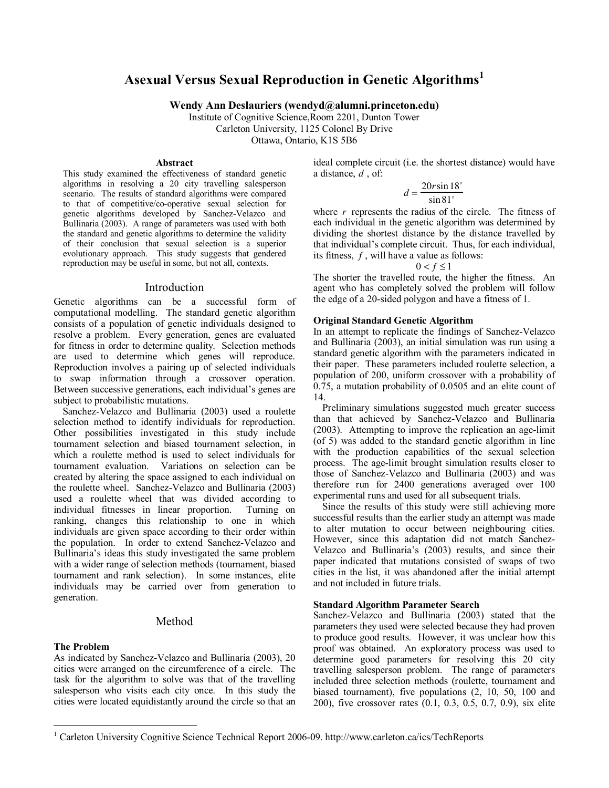# **Asexual Versus Sexual Reproduction in Genetic Algorithms<sup>1</sup>**

**Wendy Ann Deslauriers (wendyd@alumni.princeton.edu)** 

Institute of Cognitive Science,Room 2201, Dunton Tower Carleton University, 1125 Colonel By Drive Ottawa, Ontario, K1S 5B6

#### **Abstract**

This study examined the effectiveness of standard genetic algorithms in resolving a 20 city travelling salesperson scenario. The results of standard algorithms were compared to that of competitive/co-operative sexual selection for genetic algorithms developed by Sanchez-Velazco and Bullinaria (2003). A range of parameters was used with both the standard and genetic algorithms to determine the validity of their conclusion that sexual selection is a superior evolutionary approach. This study suggests that gendered reproduction may be useful in some, but not all, contexts.

# Introduction

Genetic algorithms can be a successful form of computational modelling. The standard genetic algorithm consists of a population of genetic individuals designed to resolve a problem. Every generation, genes are evaluated for fitness in order to determine quality. Selection methods are used to determine which genes will reproduce. Reproduction involves a pairing up of selected individuals to swap information through a crossover operation. Between successive generations, each individual's genes are subject to probabilistic mutations.

Sanchez-Velazco and Bullinaria (2003) used a roulette selection method to identify individuals for reproduction. Other possibilities investigated in this study include tournament selection and biased tournament selection, in which a roulette method is used to select individuals for tournament evaluation. Variations on selection can be created by altering the space assigned to each individual on the roulette wheel. Sanchez-Velazco and Bullinaria (2003) used a roulette wheel that was divided according to individual fitnesses in linear proportion. Turning on ranking, changes this relationship to one in which individuals are given space according to their order within the population. In order to extend Sanchez-Velazco and Bullinaria's ideas this study investigated the same problem with a wider range of selection methods (tournament, biased tournament and rank selection). In some instances, elite individuals may be carried over from generation to generation.

# Method

# **The Problem**

 $\overline{a}$ 

As indicated by Sanchez-Velazco and Bullinaria (2003), 20 cities were arranged on the circumference of a circle. The task for the algorithm to solve was that of the travelling salesperson who visits each city once. In this study the cities were located equidistantly around the circle so that an ideal complete circuit (i.e. the shortest distance) would have a distance, *d* , of:

$$
d = \frac{20r\sin 18^{\circ}}{\sin 81^{\circ}}
$$

where *r* represents the radius of the circle. The fitness of each individual in the genetic algorithm was determined by dividing the shortest distance by the distance travelled by that individual's complete circuit. Thus, for each individual, its fitness, *f* , will have a value as follows:

$$
0 < f \le 1
$$

The shorter the travelled route, the higher the fitness. An agent who has completely solved the problem will follow the edge of a 20-sided polygon and have a fitness of 1.

# **Original Standard Genetic Algorithm**

In an attempt to replicate the findings of Sanchez-Velazco and Bullinaria (2003), an initial simulation was run using a standard genetic algorithm with the parameters indicated in their paper. These parameters included roulette selection, a population of 200, uniform crossover with a probability of 0.75, a mutation probability of 0.0505 and an elite count of 14.

Preliminary simulations suggested much greater success than that achieved by Sanchez-Velazco and Bullinaria (2003). Attempting to improve the replication an age-limit (of 5) was added to the standard genetic algorithm in line with the production capabilities of the sexual selection process. The age-limit brought simulation results closer to those of Sanchez-Velazco and Bullinaria (2003) and was therefore run for 2400 generations averaged over 100 experimental runs and used for all subsequent trials.

Since the results of this study were still achieving more successful results than the earlier study an attempt was made to alter mutation to occur between neighbouring cities. However, since this adaptation did not match Sanchez-Velazco and Bullinaria's (2003) results, and since their paper indicated that mutations consisted of swaps of two cities in the list, it was abandoned after the initial attempt and not included in future trials.

# **Standard Algorithm Parameter Search**

Sanchez-Velazco and Bullinaria (2003) stated that the parameters they used were selected because they had proven to produce good results. However, it was unclear how this proof was obtained. An exploratory process was used to determine good parameters for resolving this 20 city travelling salesperson problem. The range of parameters included three selection methods (roulette, tournament and biased tournament), five populations (2, 10, 50, 100 and 200), five crossover rates (0.1, 0.3, 0.5, 0.7, 0.9), six elite

<sup>&</sup>lt;sup>1</sup> Carleton University Cognitive Science Technical Report 2006-09. http://www.carleton.ca/ics/TechReports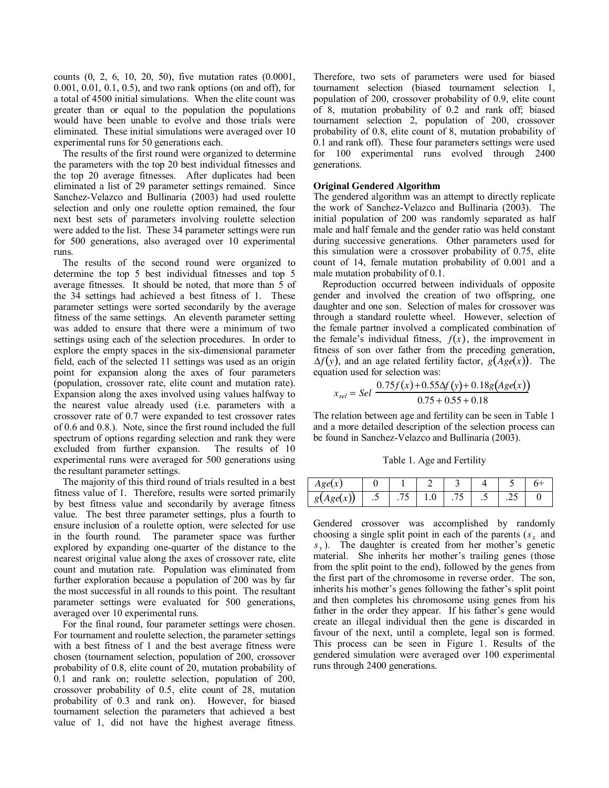counts (0, 2, 6, 10, 20, 50), five mutation rates (0.0001, 0.001, 0.01, 0.1, 0.5), and two rank options (on and off), for a total of 4500 initial simulations. When the elite count was greater than or equal to the population the populations would have been unable to evolve and those trials were eliminated. These initial simulations were averaged over 10 experimental runs for 50 generations each.

The results of the first round were organized to determine the parameters with the top 20 best individual fitnesses and the top 20 average fitnesses. After duplicates had been eliminated a list of 29 parameter settings remained. Since Sanchez-Velazco and Bullinaria (2003) had used roulette selection and only one roulette option remained, the four next best sets of parameters involving roulette selection were added to the list. These 34 parameter settings were run for 500 generations, also averaged over 10 experimental runs.

The results of the second round were organized to determine the top 5 best individual fitnesses and top 5 average fitnesses. It should be noted, that more than 5 of the 34 settings had achieved a best fitness of 1. These parameter settings were sorted secondarily by the average fitness of the same settings. An eleventh parameter setting was added to ensure that there were a minimum of two settings using each of the selection procedures. In order to explore the empty spaces in the six-dimensional parameter field, each of the selected 11 settings was used as an origin point for expansion along the axes of four parameters (population, crossover rate, elite count and mutation rate). Expansion along the axes involved using values halfway to the nearest value already used (i.e. parameters with a crossover rate of 0.7 were expanded to test crossover rates of 0.6 and 0.8.). Note, since the first round included the full spectrum of options regarding selection and rank they were excluded from further expansion. The results of 10 experimental runs were averaged for 500 generations using the resultant parameter settings.

The majority of this third round of trials resulted in a best fitness value of 1. Therefore, results were sorted primarily by best fitness value and secondarily by average fitness value. The best three parameter settings, plus a fourth to ensure inclusion of a roulette option, were selected for use in the fourth round. The parameter space was further explored by expanding one-quarter of the distance to the nearest original value along the axes of crossover rate, elite count and mutation rate. Population was eliminated from further exploration because a population of 200 was by far the most successful in all rounds to this point. The resultant parameter settings were evaluated for 500 generations, averaged over 10 experimental runs.

For the final round, four parameter settings were chosen. For tournament and roulette selection, the parameter settings with a best fitness of 1 and the best average fitness were chosen (tournament selection, population of 200, crossover probability of 0.8, elite count of 20, mutation probability of 0.1 and rank on; roulette selection, population of 200, crossover probability of 0.5, elite count of 28, mutation probability of 0.3 and rank on). However, for biased tournament selection the parameters that achieved a best value of 1, did not have the highest average fitness.

Therefore, two sets of parameters were used for biased tournament selection (biased tournament selection 1, population of 200, crossover probability of 0.9, elite count of 8, mutation probability of 0.2 and rank off; biased tournament selection 2, population of 200, crossover probability of 0.8, elite count of 8, mutation probability of 0.1 and rank off). These four parameters settings were used for 100 experimental runs evolved through 2400 generations.

#### **Original Gendered Algorithm**

The gendered algorithm was an attempt to directly replicate the work of Sanchez-Velazco and Bullinaria (2003). The initial population of 200 was randomly separated as half male and half female and the gender ratio was held constant during successive generations. Other parameters used for this simulation were a crossover probability of 0.75, elite count of 14, female mutation probability of 0.001 and a male mutation probability of 0.1.

Reproduction occurred between individuals of opposite gender and involved the creation of two offspring, one daughter and one son. Selection of males for crossover was through a standard roulette wheel. However, selection of the female partner involved a complicated combination of the female's individual fitness,  $f(x)$ , the improvement in fitness of son over father from the preceding generation,  $\Delta f(y)$ , and an age related fertility factor,  $g(Age(x))$ . The equation used for selection was:

$$
x_{sel} = Sel \frac{0.75f(x) + 0.55\Delta f(y) + 0.18g(Age(x))}{0.75 + 0.55 + 0.18}
$$

The relation between age and fertility can be seen in Table 1 and a more detailed description of the selection process can be found in Sanchez-Velazco and Bullinaria (2003).

Table 1. Age and Fertility

| Age(x)    |         |   |     |   |     |        |  |
|-----------|---------|---|-----|---|-----|--------|--|
| g(Age(x)) | $\cdot$ | . | 1.V | . | . . | ن کے . |  |

Gendered crossover was accomplished by randomly choosing a single split point in each of the parents  $(s<sub>x</sub>$  and *s <sup>y</sup>* ). The daughter is created from her mother's genetic material. She inherits her mother's trailing genes (those from the split point to the end), followed by the genes from the first part of the chromosome in reverse order. The son, inherits his mother's genes following the father's split point and then completes his chromosome using genes from his father in the order they appear. If his father's gene would create an illegal individual then the gene is discarded in favour of the next, until a complete, legal son is formed. This process can be seen in Figure 1. Results of the gendered simulation were averaged over 100 experimental runs through 2400 generations.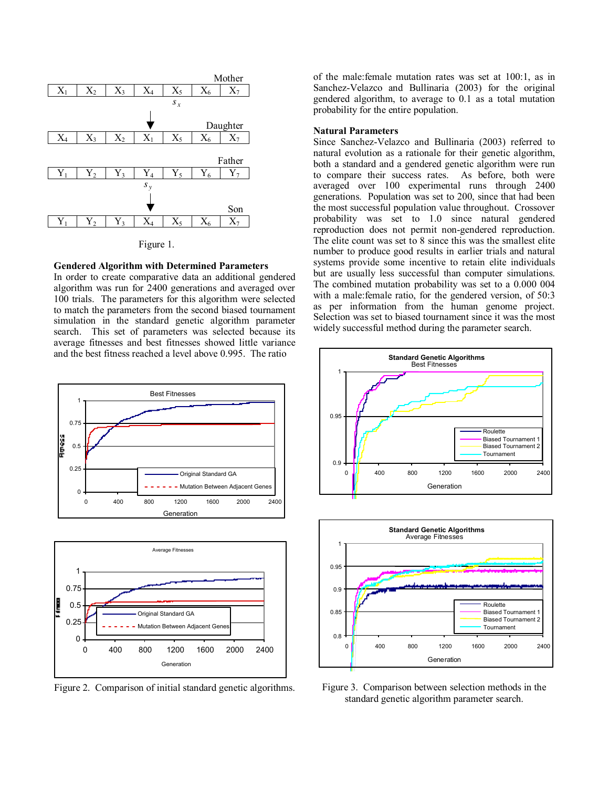

Figure 1.

#### **Gendered Algorithm with Determined Parameters**

In order to create comparative data an additional gendered algorithm was run for 2400 generations and averaged over 100 trials. The parameters for this algorithm were selected to match the parameters from the second biased tournament simulation in the standard genetic algorithm parameter search. This set of parameters was selected because its average fitnesses and best fitnesses showed little variance and the best fitness reached a level above 0.995. The ratio





Figure 2. Comparison of initial standard genetic algorithms.

of the male:female mutation rates was set at 100:1, as in Sanchez-Velazco and Bullinaria (2003) for the original gendered algorithm, to average to 0.1 as a total mutation probability for the entire population.

#### **Natural Parameters**

Since Sanchez-Velazco and Bullinaria (2003) referred to natural evolution as a rationale for their genetic algorithm, both a standard and a gendered genetic algorithm were run to compare their success rates. As before, both were averaged over 100 experimental runs through 2400 generations. Population was set to 200, since that had been the most successful population value throughout. Crossover probability was set to 1.0 since natural gendered reproduction does not permit non-gendered reproduction. The elite count was set to 8 since this was the smallest elite number to produce good results in earlier trials and natural systems provide some incentive to retain elite individuals but are usually less successful than computer simulations. The combined mutation probability was set to a 0.000 004 with a male:female ratio, for the gendered version, of 50:3 as per information from the human genome project. Selection was set to biased tournament since it was the most widely successful method during the parameter search.





Figure 3. Comparison between selection methods in the standard genetic algorithm parameter search.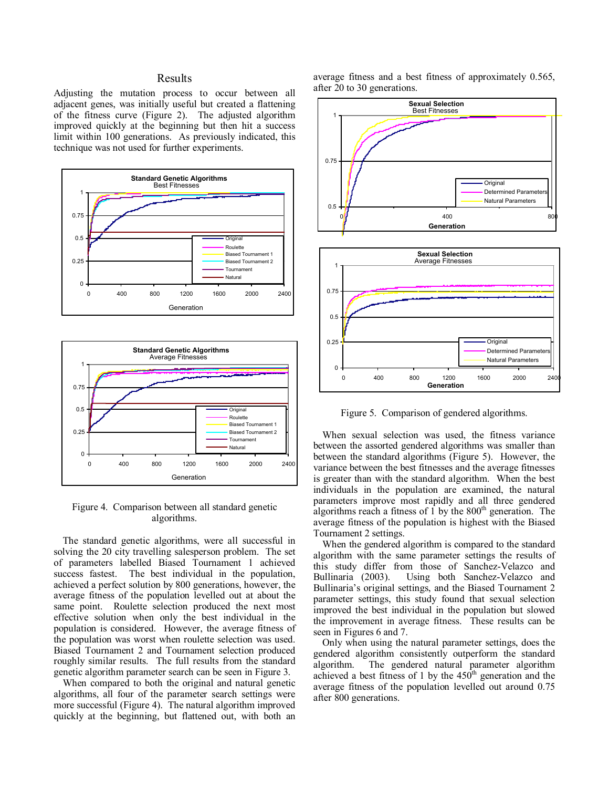# Results

Adjusting the mutation process to occur between all adjacent genes, was initially useful but created a flattening of the fitness curve (Figure 2). The adjusted algorithm improved quickly at the beginning but then hit a success limit within 100 generations. As previously indicated, this technique was not used for further experiments.





Figure 4. Comparison between all standard genetic algorithms.

The standard genetic algorithms, were all successful in solving the 20 city travelling salesperson problem. The set of parameters labelled Biased Tournament 1 achieved The best individual in the population, achieved a perfect solution by 800 generations, however, the average fitness of the population levelled out at about the same point. Roulette selection produced the next most effective solution when only the best individual in the population is considered. However, the average fitness of the population was worst when roulette selection was used. Biased Tournament 2 and Tournament selection produced roughly similar results. The full results from the standard genetic algorithm parameter search can be seen in Figure 3.

When compared to both the original and natural genetic algorithms, all four of the parameter search settings were more successful (Figure 4). The natural algorithm improved quickly at the beginning, but flattened out, with both an

average fitness and a best fitness of approximately 0.565, after 20 to 30 generations.



Figure 5. Comparison of gendered algorithms.

When sexual selection was used, the fitness variance between the assorted gendered algorithms was smaller than between the standard algorithms (Figure 5). However, the variance between the best fitnesses and the average fitnesses is greater than with the standard algorithm. When the best individuals in the population are examined, the natural parameters improve most rapidly and all three gendered algorithms reach a fitness of  $1$  by the  $800<sup>th</sup>$  generation. The average fitness of the population is highest with the Biased Tournament 2 settings.

When the gendered algorithm is compared to the standard algorithm with the same parameter settings the results of this study differ from those of Sanchez-Velazco and Bullinaria (2003). Using both Sanchez-Velazco and Bullinaria's original settings, and the Biased Tournament 2 parameter settings, this study found that sexual selection improved the best individual in the population but slowed the improvement in average fitness. These results can be seen in Figures 6 and 7.

Only when using the natural parameter settings, does the gendered algorithm consistently outperform the standard algorithm. The gendered natural parameter algorithm achieved a best fitness of 1 by the  $450<sup>th</sup>$  generation and the average fitness of the population levelled out around 0.75 after 800 generations.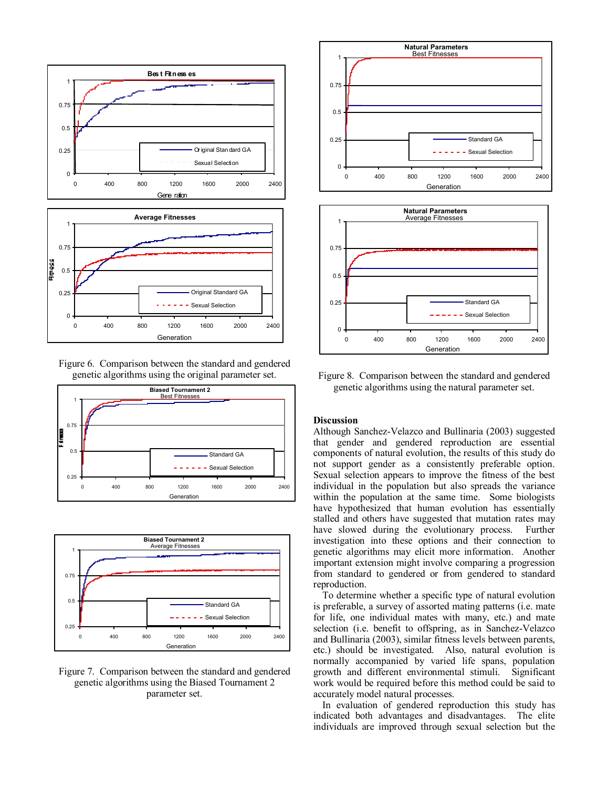



Figure 6. Comparison between the standard and gendered genetic algorithms using the original parameter set.





Figure 7. Comparison between the standard and gendered genetic algorithms using the Biased Tournament 2 parameter set.





Figure 8. Comparison between the standard and gendered genetic algorithms using the natural parameter set.

#### **Discussion**

Although Sanchez-Velazco and Bullinaria (2003) suggested that gender and gendered reproduction are essential components of natural evolution, the results of this study do not support gender as a consistently preferable option. Sexual selection appears to improve the fitness of the best individual in the population but also spreads the variance within the population at the same time. Some biologists have hypothesized that human evolution has essentially stalled and others have suggested that mutation rates may have slowed during the evolutionary process. Further investigation into these options and their connection to genetic algorithms may elicit more information. Another important extension might involve comparing a progression from standard to gendered or from gendered to standard reproduction.

To determine whether a specific type of natural evolution is preferable, a survey of assorted mating patterns (i.e. mate for life, one individual mates with many, etc.) and mate selection (i.e. benefit to offspring, as in Sanchez-Velazco and Bullinaria (2003), similar fitness levels between parents, etc.) should be investigated. Also, natural evolution is normally accompanied by varied life spans, population growth and different environmental stimuli. Significant work would be required before this method could be said to accurately model natural processes.

In evaluation of gendered reproduction this study has indicated both advantages and disadvantages. The elite individuals are improved through sexual selection but the